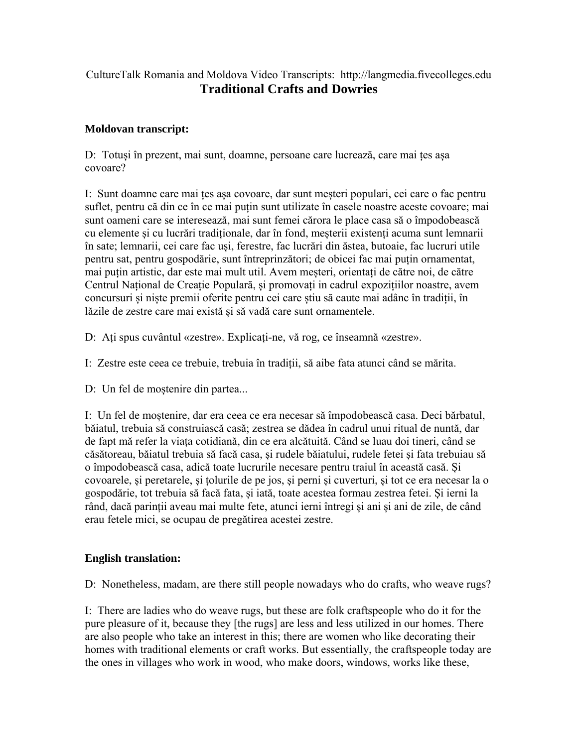## CultureTalk Romania and Moldova Video Transcripts: http://langmedia.fivecolleges.edu **Traditional Crafts and Dowries**

## **Moldovan transcript:**

D: Totuși în prezent, mai sunt, doamne, persoane care lucrează, care mai țes așa covoare?

I: Sunt doamne care mai țes așa covoare, dar sunt meșteri populari, cei care o fac pentru suflet, pentru că din ce în ce mai puțin sunt utilizate în casele noastre aceste covoare; mai sunt oameni care se interesează, mai sunt femei cărora le place casa să o împodobească cu elemente și cu lucrări tradiționale, dar în fond, meșterii existenți acuma sunt lemnarii în sate; lemnarii, cei care fac uși, ferestre, fac lucrări din ăstea, butoaie, fac lucruri utile pentru sat, pentru gospodărie, sunt întreprinzători; de obicei fac mai puțin ornamentat, mai puțin artistic, dar este mai mult util. Avem meșteri, orientați de către noi, de către Centrul Național de Creație Populară, și promovați in cadrul expozițiilor noastre, avem concursuri și niște premii oferite pentru cei care știu să caute mai adânc în tradiții, în lăzile de zestre care mai există și să vadă care sunt ornamentele.

D: Ați spus cuvântul «zestre». Explicați-ne, vă rog, ce înseamnă «zestre».

I: Zestre este ceea ce trebuie, trebuia în tradiții, să aibe fata atunci când se mărita.

D: Un fel de moștenire din partea...

I: Un fel de moștenire, dar era ceea ce era necesar să împodobească casa. Deci bărbatul, băiatul, trebuia să construiască casă; zestrea se dădea în cadrul unui ritual de nuntă, dar de fapt mă refer la viața cotidiană, din ce era alcătuită. Când se luau doi tineri, când se căsătoreau, băiatul trebuia să facă casa, și rudele băiatului, rudele fetei și fata trebuiau să o împodobească casa, adică toate lucrurile necesare pentru traiul în această casă. Și covoarele, și peretarele, și țolurile de pe jos, și perni și cuverturi, și tot ce era necesar la o gospodărie, tot trebuia să facă fata, și iată, toate acestea formau zestrea fetei. Și ierni la rând, dacă parinții aveau mai multe fete, atunci ierni întregi și ani și ani de zile, de când erau fetele mici, se ocupau de pregătirea acestei zestre.

## **English translation:**

D: Nonetheless, madam, are there still people nowadays who do crafts, who weave rugs?

I: There are ladies who do weave rugs, but these are folk craftspeople who do it for the pure pleasure of it, because they [the rugs] are less and less utilized in our homes. There are also people who take an interest in this; there are women who like decorating their homes with traditional elements or craft works. But essentially, the craftspeople today are the ones in villages who work in wood, who make doors, windows, works like these,